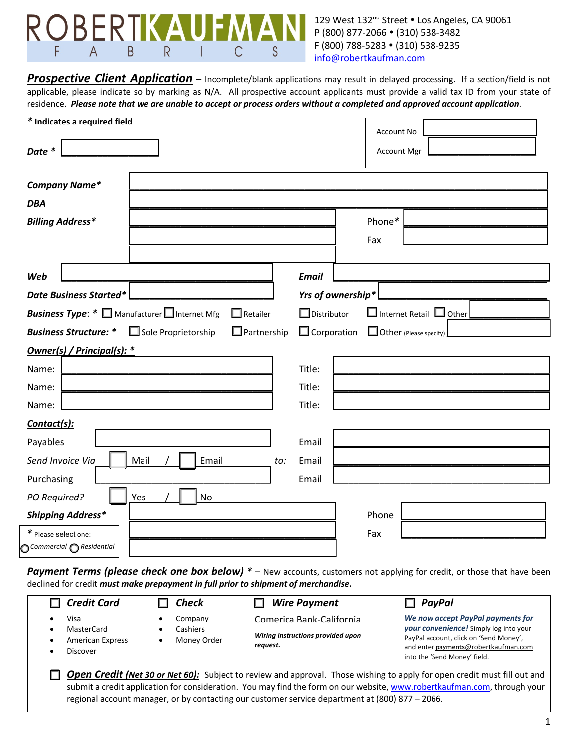

129 West 132<sup>nd</sup> Street . Los Angeles, CA 90061 P (800) 877-2066 • (310) 538-3482 F (800) 788-5283 • (310) 538-9235 info@robertkaufman.com

**Prospective Client Application** – Incomplete/blank applications may result in delayed processing. If a section/field is not applicable, please indicate so by marking as N/A. All prospective account applicants must provide a valid tax ID from your state of residence. *Please note that we are unable to accept or process orders without a completed and approved account application*.

|                                                                      | * Indicates a required field |               | Account No         |                    |                                     |
|----------------------------------------------------------------------|------------------------------|---------------|--------------------|--------------------|-------------------------------------|
| Date *                                                               |                              |               |                    | <b>Account Mgr</b> |                                     |
|                                                                      | <b>Company Name*</b>         |               |                    |                    |                                     |
| <b>DBA</b>                                                           |                              |               |                    |                    |                                     |
| <b>Billing Address*</b>                                              |                              |               |                    |                    | Phone*                              |
|                                                                      |                              |               |                    |                    | Fax                                 |
|                                                                      |                              |               |                    |                    |                                     |
| Web                                                                  |                              |               |                    | <b>Email</b>       |                                     |
| <b>Date Business Started*</b>                                        |                              |               |                    |                    | Yrs of ownership*                   |
| <b>Business Type:</b> * Manufacturer Internet Mfg<br>$\Box$ Retailer |                              |               |                    | $\Box$ Distributor | $\Box$ Internet Retail $\Box$ Other |
| <b>Business Structure: *</b><br>$\Box$ Sole Proprietorship           |                              |               | $\Box$ Partnership | $\Box$ Corporation | Other (Please specify)              |
|                                                                      | Owner(s) / Principal(s): *   |               |                    |                    |                                     |
| Name:                                                                |                              |               |                    | Title:             |                                     |
| Name:                                                                |                              |               |                    | Title:             |                                     |
| Name:                                                                |                              |               |                    | Title:             |                                     |
| Contact(s):                                                          |                              |               |                    |                    |                                     |
| Payables                                                             |                              |               |                    | Email              |                                     |
| Send Invoice Via                                                     |                              | Email<br>Mail | to:                | Email              |                                     |
| Purchasing                                                           |                              |               | Email              |                    |                                     |
| PO Required?<br><b>No</b><br>Yes                                     |                              |               |                    |                    |                                     |
| <b>Shipping Address*</b>                                             |                              |               |                    | Phone              |                                     |
| * Please select one:                                                 |                              |               |                    | Fax                |                                     |
| $\bigcirc$ Commercial $\bigcirc$ Residential                         |                              |               |                    |                    |                                     |

Payment Terms (please check one box below) \* - New accounts, customers not applying for credit, or those that have been declined for credit *must make prepayment in full prior to shipment of merchandise***.**

| <b>Credit Card</b>                                                                                                                                                                                                                                                                                                                                      | <b>Check</b>                            | <b>Wire Payment</b>                                                       | PayPal                                                                                                                                                                                               |  |  |  |
|---------------------------------------------------------------------------------------------------------------------------------------------------------------------------------------------------------------------------------------------------------------------------------------------------------------------------------------------------------|-----------------------------------------|---------------------------------------------------------------------------|------------------------------------------------------------------------------------------------------------------------------------------------------------------------------------------------------|--|--|--|
| Visa<br>MasterCard<br><b>American Express</b><br><b>Discover</b>                                                                                                                                                                                                                                                                                        | Company<br>Cashiers<br>Money Order<br>٠ | Comerica Bank-California<br>Wiring instructions provided upon<br>request. | We now accept PayPal payments for<br><b>your convenience!</b> Simply log into your<br>PayPal account, click on 'Send Money',<br>and enter payments@robertkaufman.com<br>into the 'Send Money' field. |  |  |  |
| Open Credit (Net 30 or Net 60): Subject to review and approval. Those wishing to apply for open credit must fill out and<br>submit a credit application for consideration. You may find the form on our website, www.robertkaufman.com, through your<br>regional account manager, or by contacting our customer service department at (800) 877 - 2066. |                                         |                                                                           |                                                                                                                                                                                                      |  |  |  |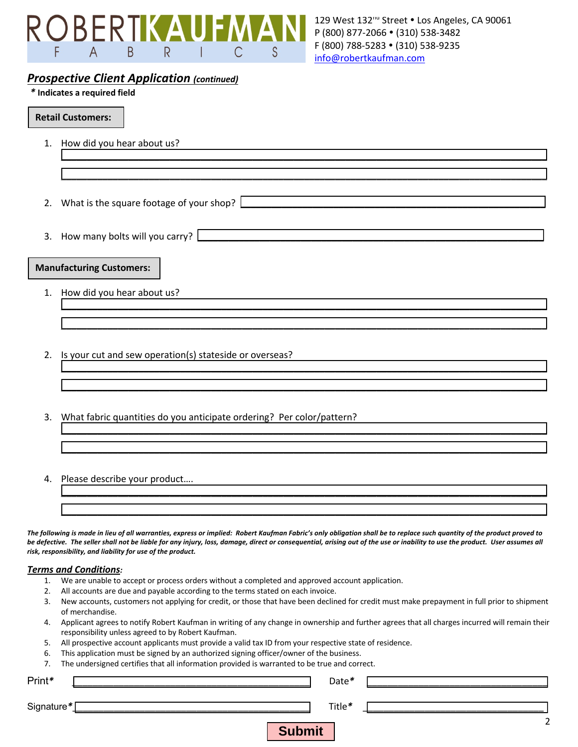

# *Prospective Client Application (continued)*

### *\** **Indicates a required field**

### **Retail Customers:**

1. How did you hear about us?

2. What is the square footage of your shop?  $\lfloor$ 

3. How many bolts will you carry?

### **Manufacturing Customers:**

- 1. How did you hear about us?
- 2. Is your cut and sew operation(s) stateside or overseas?
- 3. What fabric quantities do you anticipate ordering? Per color/pattern?
- 4. Please describe your product….

*The following is made in lieu of all warranties, express or implied: Robert Kaufman Fabric's only obligation shall be to replace such quantity of the product proved to be defective. The seller shall not be liable for any injury, loss, damage, direct or consequential, arising out of the use or inability to use the product. User assumes all risk, responsibility, and liability for use of the product.*

\_\_\_\_\_\_\_\_\_\_\_\_\_\_\_\_\_\_\_\_\_\_\_\_\_\_\_\_\_\_\_\_\_\_\_\_\_\_\_\_\_\_\_\_\_\_\_\_\_\_\_\_\_\_\_\_\_\_\_\_\_\_\_\_\_\_\_\_\_\_\_\_\_\_\_\_\_\_\_\_\_\_\_\_\_\_\_\_\_\_\_\_\_\_

\_\_\_\_\_\_\_\_\_\_\_\_\_\_\_\_\_\_\_\_\_\_\_\_\_\_\_\_\_\_\_\_\_\_\_\_\_\_\_\_\_\_\_\_\_\_\_\_\_\_\_\_\_\_\_\_\_\_\_\_\_\_\_\_\_\_\_\_\_\_\_\_\_\_\_\_\_\_\_\_\_\_\_\_\_\_\_\_\_\_\_\_\_\_

\_\_\_\_\_\_\_\_\_\_\_\_\_\_\_\_\_\_\_\_\_\_\_\_\_\_\_\_\_\_\_\_\_\_\_\_\_\_\_\_\_\_\_\_\_\_\_\_\_\_\_\_\_\_\_\_\_\_\_\_\_\_\_\_\_\_\_\_\_\_\_\_\_\_\_\_\_\_\_\_\_\_\_\_\_\_\_\_\_\_\_\_\_\_

\_\_\_\_\_\_\_\_\_\_\_\_\_\_\_\_\_\_\_\_\_\_\_\_\_\_\_\_\_\_\_\_\_\_\_\_\_\_\_\_\_\_\_\_\_\_\_\_\_\_\_\_\_\_\_\_\_\_\_\_\_\_\_\_\_\_\_\_\_\_\_\_\_\_\_\_\_\_\_\_\_\_\_\_\_\_\_\_\_\_\_\_\_\_

\_\_\_\_\_\_\_\_\_\_\_\_\_\_\_\_\_\_\_\_\_\_\_\_\_\_\_\_\_\_\_\_\_\_\_\_\_\_\_\_\_\_\_\_\_\_\_\_\_\_\_\_\_\_\_\_\_\_\_\_\_\_\_\_\_\_\_\_\_\_\_\_\_\_\_\_\_\_\_\_\_\_\_\_\_\_\_\_\_\_\_\_\_\_

\_\_\_\_\_\_\_\_\_\_\_\_\_\_\_\_\_\_\_\_\_\_\_\_\_\_\_\_\_\_\_\_\_\_\_\_\_\_\_\_\_\_\_\_\_\_\_\_\_\_\_\_\_\_\_\_\_\_\_\_\_\_\_\_\_\_\_\_\_\_\_\_\_\_\_\_\_\_\_\_\_\_\_\_\_\_\_\_\_\_\_\_\_\_

\_\_\_\_\_\_\_\_\_\_\_\_\_\_\_\_\_\_\_\_\_\_\_\_\_\_\_\_\_\_\_\_\_\_\_\_\_\_\_\_\_\_\_\_\_\_\_\_\_\_\_\_\_\_\_\_\_\_\_\_\_\_\_\_\_\_\_\_\_\_\_\_\_\_\_\_\_\_\_\_\_\_\_\_\_\_\_\_\_\_\_\_\_\_

\_\_\_\_\_\_\_\_\_\_\_\_\_\_\_\_\_\_\_\_\_\_\_\_\_\_\_\_\_\_\_\_\_\_\_\_\_\_\_\_\_\_\_\_\_\_\_\_\_\_\_\_\_\_\_\_\_\_\_\_\_\_\_\_\_\_\_\_\_\_\_\_\_\_\_\_\_\_\_\_\_\_\_\_\_\_\_\_\_\_\_\_\_\_

\_\_\_\_\_\_\_\_\_\_\_\_\_\_\_\_\_\_\_\_\_\_\_\_\_\_\_\_\_\_\_\_\_\_\_\_\_\_\_\_\_\_\_\_\_\_\_\_\_\_\_\_\_\_\_\_\_\_\_\_\_\_\_\_\_\_\_\_\_\_\_\_\_\_\_\_\_\_\_\_\_\_\_\_\_\_\_\_\_\_\_\_\_\_

\_\_\_\_\_\_\_\_\_\_\_\_\_\_\_\_\_\_\_\_\_\_\_\_\_\_\_\_\_\_\_\_\_\_\_\_\_\_\_\_\_\_\_\_\_\_\_\_\_\_\_\_\_\_\_\_\_\_\_\_\_\_\_\_\_\_\_\_\_\_\_\_\_\_\_\_\_\_\_\_\_\_\_\_\_\_\_\_\_\_\_\_\_\_

#### *Terms and Conditions:*

- 1. We are unable to accept or process orders without a completed and approved account application.
- 2. All accounts are due and payable according to the terms stated on each invoice.
- 3. New accounts, customers not applying for credit, or those that have been declined for credit must make prepayment in full prior to shipment of merchandise.
- 4. Applicant agrees to notify Robert Kaufman in writing of any change in ownership and further agrees that all charges incurred will remain their responsibility unless agreed to by Robert Kaufman.
- 5. All prospective account applicants must provide a valid tax ID from your respective state of residence.
- 6. This application must be signed by an authorized signing officer/owner of the business.
- 7. The undersigned certifies that all information provided is warranted to be true and correct.

| $\mathbf{I}$ . | The undersigned certifies that all implifiation provided is warranted to be true and correct. |        |  |
|----------------|-----------------------------------------------------------------------------------------------|--------|--|
| Print*         |                                                                                               | Date*  |  |
| Signature*     |                                                                                               | Title* |  |
|                | <b>Submit</b>                                                                                 |        |  |